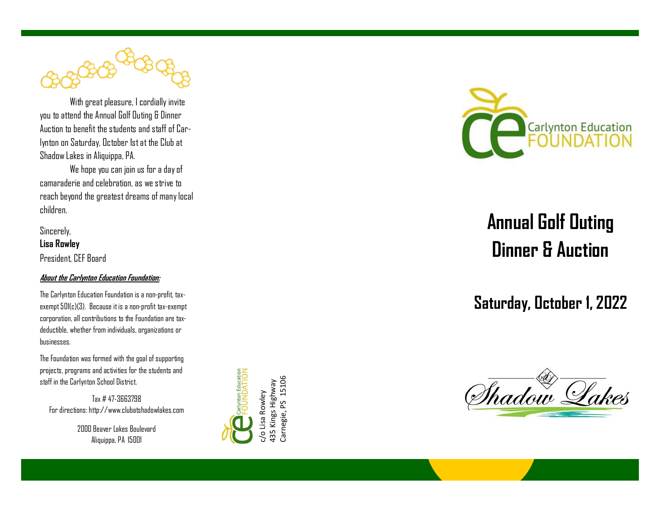With great pleasure, I cordially invite you to attend the Annual Golf Outing & Dinner Auction to benefit the students and staff of Carlynton on Saturday, October 1st at the Club at Shadow Lakes in Aliquippa, PA.

 We hope you can join us for a day of camaraderie and celebration, as we strive to reach beyond the greatest dreams of many local children.

Sincerely, **Lisa Rowley** President, CEF Board

## **About the Carlynton Education Foundation:**

The Carlynton Education Foundation is a non-profit, taxexempt 501(c)(3). Because it is a non-profit tax-exempt corporation, all contributions to the Foundation are tax deductible, whether from individuals, organizations or businesses.

The Foundation was formed with the goal of supporting projects, programs and activities for the students and staff in the Carlynton School District.

Tax # 47-3663798 For directions: http://www.clubatshadowlakes.com

> 2000 Beaver Lakes Boulevard Aliquippa, PA 15001



Carnegie, PS 15106



## **Annual Golf Outing Dinner & Auction**

## **Saturday, October 1, 2022**